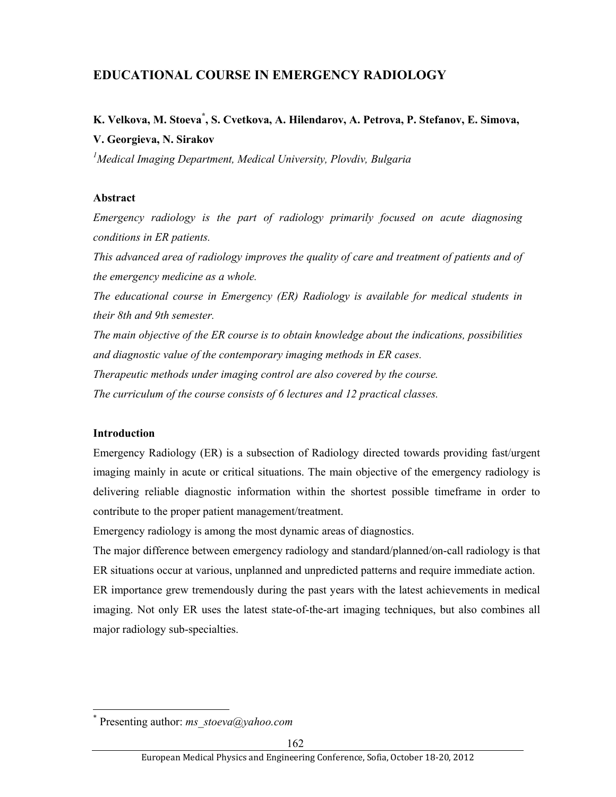## **EDUCATIONAL COURSE IN EMERGENCY RADIOLOGY**

# **K. Velkova, M. Stoeva\* , S. Cvetkova, A. Hilendarov, A. Petrova, P. Stefanov, E. Simova, V. Georgieva, N. Sirakov**

*1 Medical Imaging Department, Medical University, Plovdiv, Bulgaria* 

#### **Abstract**

*Emergency radiology is the part of radiology primarily focused on acute diagnosing conditions in ER patients.* 

*This advanced area of radiology improves the quality of care and treatment of patients and of the emergency medicine as a whole.* 

*The educational course in Emergency (ER) Radiology is available for medical students in their 8th and 9th semester.* 

*The main objective of the ER course is to obtain knowledge about the indications, possibilities and diagnostic value of the contemporary imaging methods in ER cases. Therapeutic methods under imaging control are also covered by the course.* 

*The curriculum of the course consists of 6 lectures and 12 practical classes.* 

#### **Introduction**

l

Emergency Radiology (ER) is a subsection of Radiology directed towards providing fast/urgent imaging mainly in acute or critical situations. The main objective of the emergency radiology is delivering reliable diagnostic information within the shortest possible timeframe in order to contribute to the proper patient management/treatment.

Emergency radiology is among the most dynamic areas of diagnostics.

The major difference between emergency radiology and standard/planned/on-call radiology is that ER situations occur at various, unplanned and unpredicted patterns and require immediate action.

ER importance grew tremendously during the past years with the latest achievements in medical imaging. Not only ER uses the latest state-of-the-art imaging techniques, but also combines all major radiology sub-specialties.

<sup>\*</sup> Presenting author: *ms\_stoeva@yahoo.com*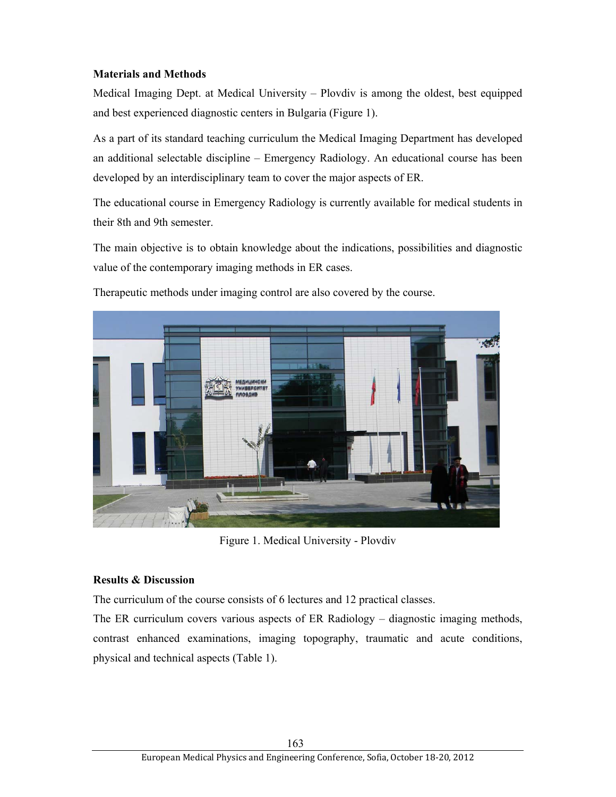#### **Materials and Methods**

Medical Imaging Dept. at Medical University – Plovdiv is among the oldest, best equipped and best experienced diagnostic centers in Bulgaria (Figure 1).

As a part of its standard teaching curriculum the Medical Imaging Department has developed an additional selectable discipline – Emergency Radiology. An educational course has been developed by an interdisciplinary team to cover the major aspects of ER.

The educational course in Emergency Radiology is currently available for medical students in their 8th and 9th semester.

The main objective is to obtain knowledge about the indications, possibilities and diagnostic value of the contemporary imaging methods in ER cases.



Therapeutic methods under imaging control are also covered by the course.

Figure 1. Medical University - Plovdiv

#### **Results & Discussion**

The curriculum of the course consists of 6 lectures and 12 practical classes.

The ER curriculum covers various aspects of ER Radiology – diagnostic imaging methods, contrast enhanced examinations, imaging topography, traumatic and acute conditions, physical and technical aspects (Table 1).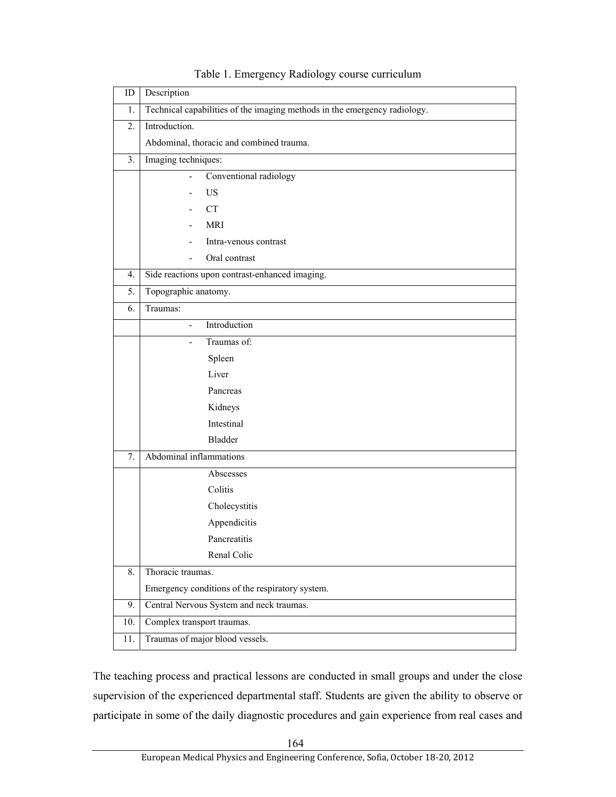| ID  | Description                                                               |
|-----|---------------------------------------------------------------------------|
| 1.  | Technical capabilities of the imaging methods in the emergency radiology. |
| 2.  | Introduction.                                                             |
|     | Abdominal, thoracic and combined trauma.                                  |
| 3.  | Imaging techniques:                                                       |
|     | Conventional radiology                                                    |
|     | <b>US</b>                                                                 |
|     | <b>CT</b>                                                                 |
|     | <b>MRI</b>                                                                |
|     | Intra-venous contrast                                                     |
|     | Oral contrast                                                             |
| 4.  | Side reactions upon contrast-enhanced imaging.                            |
| 5.  | Topographic anatomy.                                                      |
| 6.  | Traumas:                                                                  |
|     | Introduction<br>L.                                                        |
|     | Traumas of:                                                               |
|     | Spleen                                                                    |
|     | Liver                                                                     |
|     | Pancreas                                                                  |
|     | Kidneys                                                                   |
|     | Intestinal                                                                |
|     | <b>Bladder</b>                                                            |
| 7.  | Abdominal inflammations                                                   |
|     | Abscesses                                                                 |
|     | Colitis                                                                   |
|     | Cholecystitis                                                             |
|     | Appendicitis                                                              |
|     | Pancreatitis                                                              |
|     | Renal Colic                                                               |
| 8.  | Thoracic traumas.                                                         |
|     | Emergency conditions of the respiratory system.                           |
| 9.  | Central Nervous System and neck traumas.                                  |
| 10. | Complex transport traumas.                                                |
| 11. | Traumas of major blood vessels.                                           |

### Table 1. Emergency Radiology course curriculum

The teaching process and practical lessons are conducted in small groups and under the close supervision of the experienced departmental staff. Students are given the ability to observe or participate in some of the daily diagnostic procedures and gain experience from real cases and